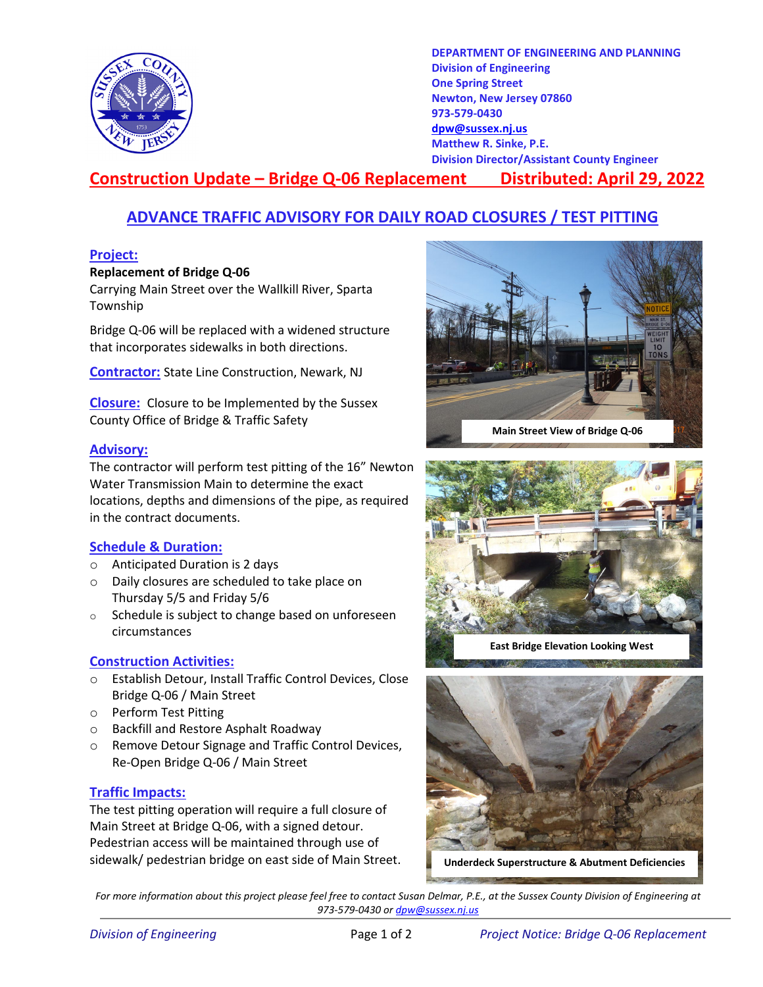

**DEPARTMENT OF ENGINEERING AND PLANNING Division of Engineering One Spring Street Newton, New Jersey 07860 973-579-0430 [dpw@sussex.nj.us](mailto:dpw@sussex.nj.us) Matthew R. Sinke, P.E. Division Director/Assistant County Engineer**

# **Construction Update – Bridge Q-06 Replacement Distributed: April 29, 2022**

## **ADVANCE TRAFFIC ADVISORY FOR DAILY ROAD CLOSURES / TEST PITTING**

#### **Project:**

#### **Replacement of Bridge Q-06**

Carrying Main Street over the Wallkill River, Sparta Township

Bridge Q-06 will be replaced with a widened structure that incorporates sidewalks in both directions.

**Contractor:** State Line Construction, Newark, NJ

**Closure:** Closure to be Implemented by the Sussex County Office of Bridge & Traffic Safety

#### **Advisory:**

The contractor will perform test pitting of the 16" Newton Water Transmission Main to determine the exact locations, depths and dimensions of the pipe, as required in the contract documents.

#### **Schedule & Duration:**

- o Anticipated Duration is 2 days
- o Daily closures are scheduled to take place on Thursday 5/5 and Friday 5/6
- o Schedule is subject to change based on unforeseen circumstances

#### **Construction Activities:**

- o Establish Detour, Install Traffic Control Devices, Close Bridge Q-06 / Main Street
- o Perform Test Pitting
- o Backfill and Restore Asphalt Roadway
- o Remove Detour Signage and Traffic Control Devices, Re-Open Bridge Q-06 / Main Street

#### **Traffic Impacts:**

The test pitting operation will require a full closure of Main Street at Bridge Q-06, with a signed detour. Pedestrian access will be maintained through use of sidewalk/ pedestrian bridge on east side of Main Street.





**East Bridge Elevation Looking West**





**Underdeck Superstructure & Abutment Deficiencies**

*For more information about this project please feel free to contact Susan Delmar, P.E., at the Sussex County Division of Engineering at 973-579-0430 o[r dpw@sussex.nj.us](mailto:dpw@sussex.nj.us)*